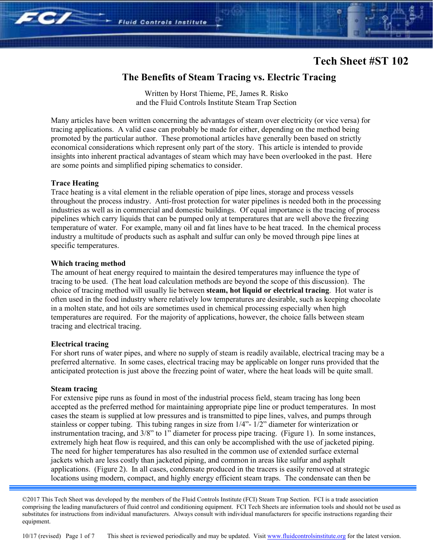### **The Benefits of Steam Tracing vs. Electric Tracing**

Written by Horst Thieme, PE, James R. Risko and the Fluid Controls Institute Steam Trap Section

**Fluid Controls Institute** 

Many articles have been written concerning the advantages of steam over electricity (or vice versa) for tracing applications. A valid case can probably be made for either, depending on the method being promoted by the particular author. These promotional articles have generally been based on strictly economical considerations which represent only part of the story. This article is intended to provide insights into inherent practical advantages of steam which may have been overlooked in the past. Here are some points and simplified piping schematics to consider.

#### **Trace Heating**

 $707$ 

Trace heating is a vital element in the reliable operation of pipe lines, storage and process vessels throughout the process industry. Anti-frost protection for water pipelines is needed both in the processing industries as well as in commercial and domestic buildings. Of equal importance is the tracing of process pipelines which carry liquids that can be pumped only at temperatures that are well above the freezing temperature of water. For example, many oil and fat lines have to be heat traced. In the chemical process industry a multitude of products such as asphalt and sulfur can only be moved through pipe lines at specific temperatures.

#### **Which tracing method**

The amount of heat energy required to maintain the desired temperatures may influence the type of tracing to be used. (The heat load calculation methods are beyond the scope of this discussion). The choice of tracing method will usually lie between **steam, hot liquid or electrical tracing**. Hot water is often used in the food industry where relatively low temperatures are desirable, such as keeping chocolate in a molten state, and hot oils are sometimes used in chemical processing especially when high temperatures are required. For the majority of applications, however, the choice falls between steam tracing and electrical tracing.

#### **Electrical tracing**

For short runs of water pipes, and where no supply of steam is readily available, electrical tracing may be a preferred alternative. In some cases, electrical tracing may be applicable on longer runs provided that the anticipated protection is just above the freezing point of water, where the heat loads will be quite small.

#### **Steam tracing**

For extensive pipe runs as found in most of the industrial process field, steam tracing has long been accepted as the preferred method for maintaining appropriate pipe line or product temperatures. In most cases the steam is supplied at low pressures and is transmitted to pipe lines, valves, and pumps through stainless or copper tubing. This tubing ranges in size from 1/4"- 1/2" diameter for winterization or instrumentation tracing, and 3/8" to 1" diameter for process pipe tracing. (Figure 1). In some instances, extremely high heat flow is required, and this can only be accomplished with the use of jacketed piping. The need for higher temperatures has also resulted in the common use of extended surface external jackets which are less costly than jacketed piping, and common in areas like sulfur and asphalt applications. (Figure 2). In all cases, condensate produced in the tracers is easily removed at strategic locations using modern, compact, and highly energy efficient steam traps. The condensate can then be

©2017 This Tech Sheet was developed by the members of the Fluid Controls Institute (FCI) Steam Trap Section. FCI is a trade association comprising the leading manufacturers of fluid control and conditioning equipment. FCI Tech Sheets are information tools and should not be used as substitutes for instructions from individual manufacturers. Always consult with individual manufacturers for specific instructions regarding their equipment.

10/17 (revised) Page 1 of 7 This sheet is reviewed periodically and may be updated. Visit www.fluidcontrolsinstitute.org for the latest version.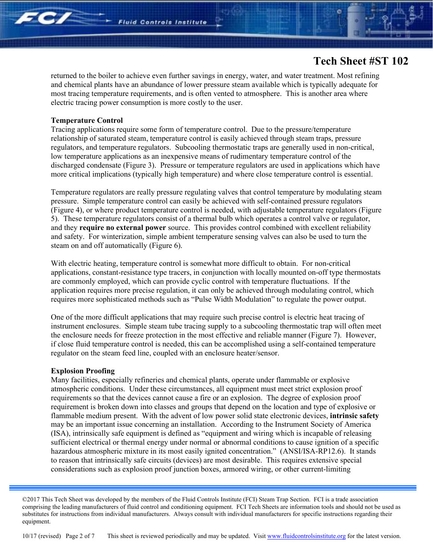returned to the boiler to achieve even further savings in energy, water, and water treatment. Most refining and chemical plants have an abundance of lower pressure steam available which is typically adequate for most tracing temperature requirements, and is often vented to atmosphere. This is another area where electric tracing power consumption is more costly to the user.

#### **Temperature Control**

**507** 

Tracing applications require some form of temperature control. Due to the pressure/temperature relationship of saturated steam, temperature control is easily achieved through steam traps, pressure regulators, and temperature regulators. Subcooling thermostatic traps are generally used in non-critical, low temperature applications as an inexpensive means of rudimentary temperature control of the discharged condensate (Figure 3). Pressure or temperature regulators are used in applications which have more critical implications (typically high temperature) and where close temperature control is essential.

Temperature regulators are really pressure regulating valves that control temperature by modulating steam pressure. Simple temperature control can easily be achieved with self-contained pressure regulators (Figure 4), or where product temperature control is needed, with adjustable temperature regulators (Figure 5). These temperature regulators consist of a thermal bulb which operates a control valve or regulator, and they **require no external power** source. This provides control combined with excellent reliability and safety. For winterization, simple ambient temperature sensing valves can also be used to turn the steam on and off automatically (Figure 6).

With electric heating, temperature control is somewhat more difficult to obtain. For non-critical applications, constant-resistance type tracers, in conjunction with locally mounted on-off type thermostats are commonly employed, which can provide cyclic control with temperature fluctuations. If the application requires more precise regulation, it can only be achieved through modulating control, which requires more sophisticated methods such as "Pulse Width Modulation" to regulate the power output.

One of the more difficult applications that may require such precise control is electric heat tracing of instrument enclosures. Simple steam tube tracing supply to a subcooling thermostatic trap will often meet the enclosure needs for freeze protection in the most effective and reliable manner (Figure 7). However, if close fluid temperature control is needed, this can be accomplished using a self-contained temperature regulator on the steam feed line, coupled with an enclosure heater/sensor.

#### **Explosion Proofing**

Many facilities, especially refineries and chemical plants, operate under flammable or explosive atmospheric conditions. Under these circumstances, all equipment must meet strict explosion proof requirements so that the devices cannot cause a fire or an explosion. The degree of explosion proof requirement is broken down into classes and groups that depend on the location and type of explosive or flammable medium present. With the advent of low power solid state electronic devices, **intrinsic safety**  may be an important issue concerning an installation. According to the Instrument Society of America (ISA), intrinsically safe equipment is defined as "equipment and wiring which is incapable of releasing sufficient electrical or thermal energy under normal or abnormal conditions to cause ignition of a specific hazardous atmospheric mixture in its most easily ignited concentration." (ANSI/ISA-RP12.6). It stands to reason that intrinsically safe circuits (devices) are most desirable. This requires extensive special considerations such as explosion proof junction boxes, armored wiring, or other current-limiting

<sup>©2017</sup> This Tech Sheet was developed by the members of the Fluid Controls Institute (FCI) Steam Trap Section. FCI is a trade association comprising the leading manufacturers of fluid control and conditioning equipment. FCI Tech Sheets are information tools and should not be used as substitutes for instructions from individual manufacturers. Always consult with individual manufacturers for specific instructions regarding their equipment.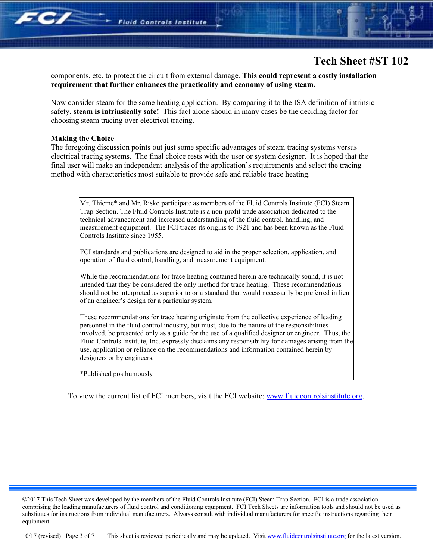

components, etc. to protect the circuit from external damage. **This could represent a costly installation requirement that further enhances the practicality and economy of using steam.** 

Now consider steam for the same heating application. By comparing it to the ISA definition of intrinsic safety, **steam is intrinsically safe!** This fact alone should in many cases be the deciding factor for choosing steam tracing over electrical tracing.

#### **Making the Choice**

**507** 

The foregoing discussion points out just some specific advantages of steam tracing systems versus electrical tracing systems. The final choice rests with the user or system designer. It is hoped that the final user will make an independent analysis of the application's requirements and select the tracing method with characteristics most suitable to provide safe and reliable trace heating.

Mr. Thieme\* and Mr. Risko participate as members of the Fluid Controls Institute (FCI) Steam Trap Section. The Fluid Controls Institute is a non-profit trade association dedicated to the technical advancement and increased understanding of the fluid control, handling, and measurement equipment. The FCI traces its origins to 1921 and has been known as the Fluid Controls Institute since 1955.

FCI standards and publications are designed to aid in the proper selection, application, and operation of fluid control, handling, and measurement equipment.

While the recommendations for trace heating contained herein are technically sound, it is not intended that they be considered the only method for trace heating. These recommendations should not be interpreted as superior to or a standard that would necessarily be preferred in lieu of an engineer's design for a particular system.

These recommendations for trace heating originate from the collective experience of leading personnel in the fluid control industry, but must, due to the nature of the responsibilities involved, be presented only as a guide for the use of a qualified designer or engineer. Thus, the Fluid Controls Institute, Inc. expressly disclaims any responsibility for damages arising from the use, application or reliance on the recommendations and information contained herein by designers or by engineers.

\*Published posthumously

To view the current list of FCI members, visit the FCI website: www.fluidcontrolsinstitute.org.

10/17 (revised) Page 3 of 7 This sheet is reviewed periodically and may be updated. Visit www.fluidcontrolsinstitute.org for the latest version.

<sup>©2017</sup> This Tech Sheet was developed by the members of the Fluid Controls Institute (FCI) Steam Trap Section. FCI is a trade association comprising the leading manufacturers of fluid control and conditioning equipment. FCI Tech Sheets are information tools and should not be used as substitutes for instructions from individual manufacturers. Always consult with individual manufacturers for specific instructions regarding their equipment.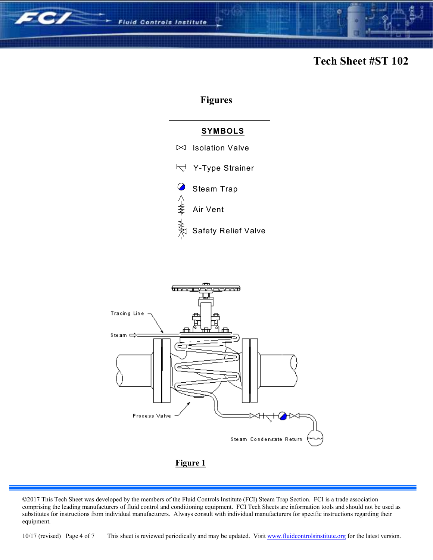

### **Figures**





©2017 This Tech Sheet was developed by the members of the Fluid Controls Institute (FCI) Steam Trap Section. FCI is a trade association comprising the leading manufacturers of fluid control and conditioning equipment. FCI Tech Sheets are information tools and should not be used as substitutes for instructions from individual manufacturers. Always consult with individual manufacturers for specific instructions regarding their equipment.

10/17 (revised) Page 4 of 7 This sheet is reviewed periodically and may be updated. Visit www.fluidcontrolsinstitute.org for the latest version.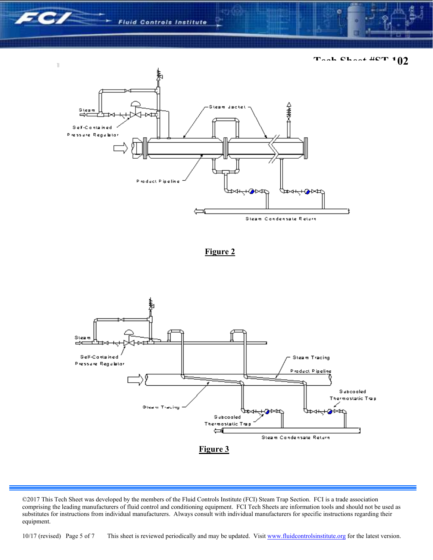$\mathbb T$ 

**Tech Sheet #ST 102** 







10/17 (revised) Page 5 of 7 This sheet is reviewed periodically and may be updated. Visit www.fluidcontrolsinstitute.org for the latest version.

<sup>©2017</sup> This Tech Sheet was developed by the members of the Fluid Controls Institute (FCI) Steam Trap Section. FCI is a trade association comprising the leading manufacturers of fluid control and conditioning equipment. FCI Tech Sheets are information tools and should not be used as substitutes for instructions from individual manufacturers. Always consult with individual manufacturers for specific instructions regarding their equipment.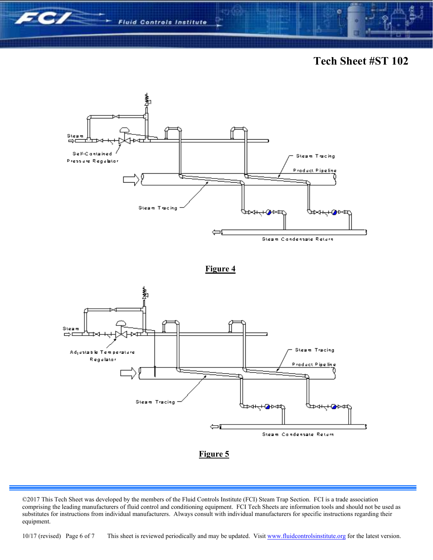







### **Figure 5**

10/17 (revised) Page 6 of 7 This sheet is reviewed periodically and may be updated. Visit www.fluidcontrolsinstitute.org for the latest version.

<sup>©2017</sup> This Tech Sheet was developed by the members of the Fluid Controls Institute (FCI) Steam Trap Section. FCI is a trade association comprising the leading manufacturers of fluid control and conditioning equipment. FCI Tech Sheets are information tools and should not be used as substitutes for instructions from individual manufacturers. Always consult with individual manufacturers for specific instructions regarding their equipment.